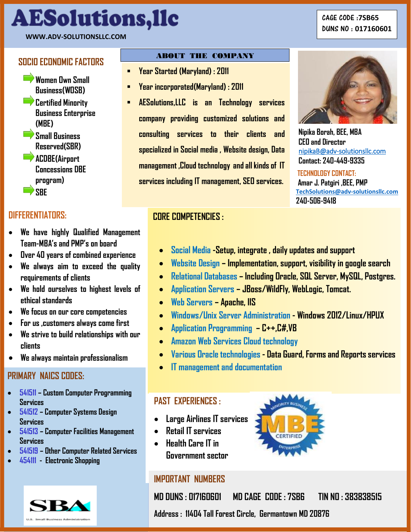# **Our owner and her consultants are highly experienced and skill in the Information Technology and have done following work in the past or currently working in private and government sub agencies .**

### **Our previous and current experiences: WWW.ADV-SOLUTIONSLLC.COM**

- **Women Own Small Business(WOSB)**
- **Certified Minority Business Enterprise (MBE)**
- **Small Business Reserved(SBR)**
- **ACDBE(Airport Concessions DBE program)**  $\Rightarrow$  SBF

## **DIFFERENTIATORS:**

- **We have highly Qualified Management Team-MBA's and PMP's on board**
- **Over 40 years of combined experience**
- **We always aim to exceed the quality requirements of clients**
- **We hold ourselves to highest levels of ethical standards**
- **We focus on our core competencies**
- **For us ,customers always come first**
- **We strive to build relationships with our clients**
- **We always maintain professionalism**

## **PRIMARY NAICS CODES:**

- **541511 – Custom Computer Programming Services**
- **541512 – Computer Systems Design Services**
- **541513 – Computer Facilities Management Services**
- **541519 – Other Computer Related Services**
- **454111 Electronic Shopping**



l<br>L

# **ABOUT THE COMPANY SOCIO ECONOMIC FACTORS**

- **Year Started (Maryland) : 2011**
- **Year incorporated(Maryland) : 2011**
- **AESolutions,LLC is an Technology services company providing customized solutions and consulting services to their clients and specialized in Social media , Website design, Data management ,Cloud technology and all kinds of IT services including IT management, SEO services.**



**Nipika Borah, BEE, MBA CEO and Director** [nipikaB@adv-solutionsllc.com](mailto:nipikaB@adv-solutionsllc.com)  **Contact: 240-449-9335**

 **TECHNOLOGY CONTACT: Amar J. Patgiri ,BEE, PMP [TechSolutions@adv-solutionsllc.com](file:///C:/Users/Bobby/Documents/TechSolutions@adv-solutionsllc.com) 240-506-9418**

## **CORE COMPETENCIES :**

- **Social Media -Setup, integrate , daily updates and support**
- **Website Design – Implementation, support, visibility in google search**
- **Relational Databases – Including Oracle, SQL Server, MySQL, Postgres.**
- **Application Servers – JBoss/WildFly, WebLogic, Tomcat.**
- **Web Servers – Apache, IIS**
- **Windows/Unix Server Administration - Windows 2012/Linux/HPUX**
- **Application Programming – C++,C#,VB**
- **Amazon Web Services Cloud technology**
- **Various Oracle technologies - Data Guard, Forms and Reports services**
- **IT management and documentation**

## **PAST EXPERIENCES :**

- **Large Airlines IT services**
- **Retail IT services**
- **Health Care IT in Government sector**

## **IMPORTANT NUMBERS**

**MD DUNS : 017160601 MD CAGE CODE : 7SB6 TIN NO : 383838515**

**Manuel System Controller Second Dunity Concretion**